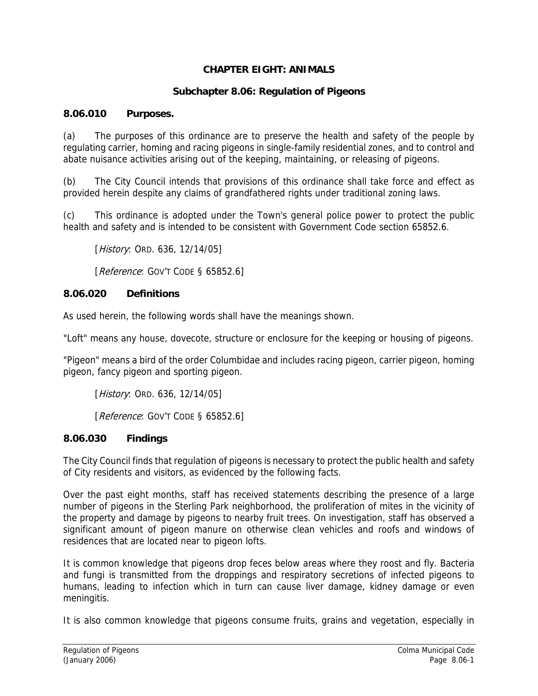## **CHAPTER EIGHT: ANIMALS**

### **Subchapter 8.06: Regulation of Pigeons**

### **8.06.010 Purposes.**

(a) The purposes of this ordinance are to preserve the health and safety of the people by regulating carrier, homing and racing pigeons in single-family residential zones, and to control and abate nuisance activities arising out of the keeping, maintaining, or releasing of pigeons.

(b) The City Council intends that provisions of this ordinance shall take force and effect as provided herein despite any claims of grandfathered rights under traditional zoning laws.

(c) This ordinance is adopted under the Town's general police power to protect the public health and safety and is intended to be consistent with Government Code section 65852.6.

[*History*: ORD. 636, 12/14/05]

[Reference: GOV'T CODE § 65852.6]

### **8.06.020 Definitions**

As used herein, the following words shall have the meanings shown.

"Loft" means any house, dovecote, structure or enclosure for the keeping or housing of pigeons.

"Pigeon" means a bird of the order Columbidae and includes racing pigeon, carrier pigeon, homing pigeon, fancy pigeon and sporting pigeon.

[*History*: ORD. 636, 12/14/05]

[Reference: GOV'T CODE § 65852.6]

#### **8.06.030 Findings**

The City Council finds that regulation of pigeons is necessary to protect the public health and safety of City residents and visitors, as evidenced by the following facts.

Over the past eight months, staff has received statements describing the presence of a large number of pigeons in the Sterling Park neighborhood, the proliferation of mites in the vicinity of the property and damage by pigeons to nearby fruit trees. On investigation, staff has observed a significant amount of pigeon manure on otherwise clean vehicles and roofs and windows of residences that are located near to pigeon lofts.

It is common knowledge that pigeons drop feces below areas where they roost and fly. Bacteria and fungi is transmitted from the droppings and respiratory secretions of infected pigeons to humans, leading to infection which in turn can cause liver damage, kidney damage or even meningitis.

It is also common knowledge that pigeons consume fruits, grains and vegetation, especially in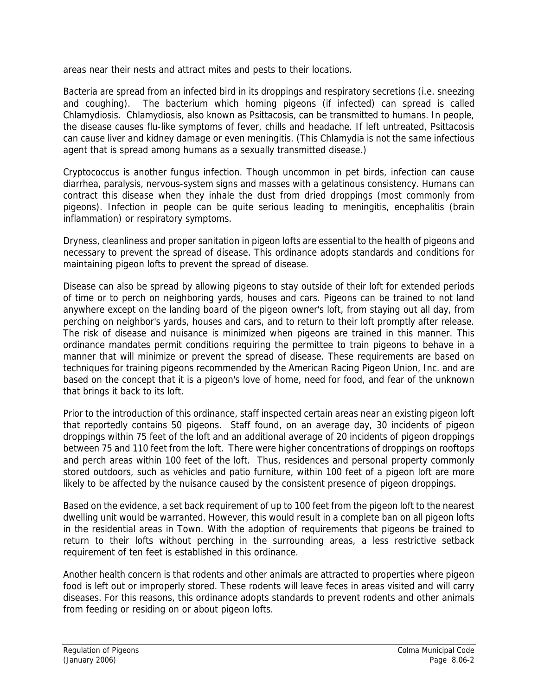areas near their nests and attract mites and pests to their locations.

Bacteria are spread from an infected bird in its droppings and respiratory secretions (i.e. sneezing and coughing). The bacterium which homing pigeons (if infected) can spread is called Chlamydiosis. Chlamydiosis, also known as Psittacosis, can be transmitted to humans. In people, the disease causes flu-like symptoms of fever, chills and headache. If left untreated, Psittacosis can cause liver and kidney damage or even meningitis. (This Chlamydia is not the same infectious agent that is spread among humans as a sexually transmitted disease.)

Cryptococcus is another fungus infection. Though uncommon in pet birds, infection can cause diarrhea, paralysis, nervous-system signs and masses with a gelatinous consistency. Humans can contract this disease when they inhale the dust from dried droppings (most commonly from pigeons). Infection in people can be quite serious leading to meningitis, encephalitis (brain inflammation) or respiratory symptoms.

Dryness, cleanliness and proper sanitation in pigeon lofts are essential to the health of pigeons and necessary to prevent the spread of disease. This ordinance adopts standards and conditions for maintaining pigeon lofts to prevent the spread of disease.

Disease can also be spread by allowing pigeons to stay outside of their loft for extended periods of time or to perch on neighboring yards, houses and cars. Pigeons can be trained to not land anywhere except on the landing board of the pigeon owner's loft, from staying out all day, from perching on neighbor's yards, houses and cars, and to return to their loft promptly after release. The risk of disease and nuisance is minimized when pigeons are trained in this manner. This ordinance mandates permit conditions requiring the permittee to train pigeons to behave in a manner that will minimize or prevent the spread of disease. These requirements are based on techniques for training pigeons recommended by the American Racing Pigeon Union, Inc. and are based on the concept that it is a pigeon's love of home, need for food, and fear of the unknown that brings it back to its loft.

Prior to the introduction of this ordinance, staff inspected certain areas near an existing pigeon loft that reportedly contains 50 pigeons. Staff found, on an average day, 30 incidents of pigeon droppings within 75 feet of the loft and an additional average of 20 incidents of pigeon droppings between 75 and 110 feet from the loft. There were higher concentrations of droppings on rooftops and perch areas within 100 feet of the loft. Thus, residences and personal property commonly stored outdoors, such as vehicles and patio furniture, within 100 feet of a pigeon loft are more likely to be affected by the nuisance caused by the consistent presence of pigeon droppings.

Based on the evidence, a set back requirement of up to 100 feet from the pigeon loft to the nearest dwelling unit would be warranted. However, this would result in a complete ban on all pigeon lofts in the residential areas in Town. With the adoption of requirements that pigeons be trained to return to their lofts without perching in the surrounding areas, a less restrictive setback requirement of ten feet is established in this ordinance.

Another health concern is that rodents and other animals are attracted to properties where pigeon food is left out or improperly stored. These rodents will leave feces in areas visited and will carry diseases. For this reasons, this ordinance adopts standards to prevent rodents and other animals from feeding or residing on or about pigeon lofts.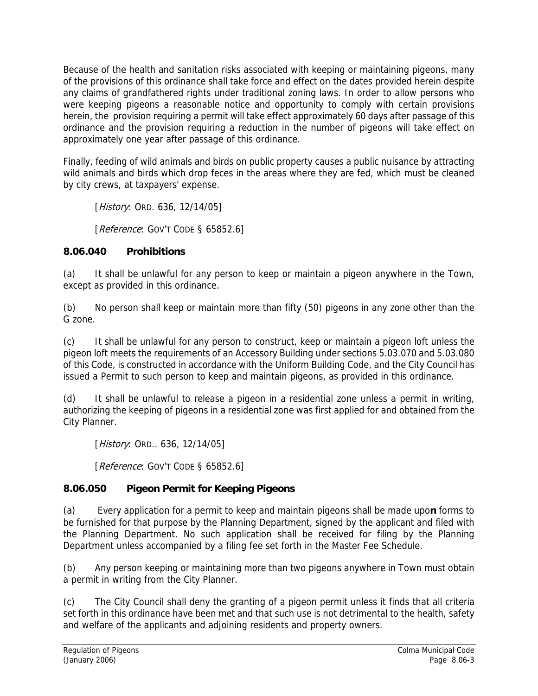Because of the health and sanitation risks associated with keeping or maintaining pigeons, many of the provisions of this ordinance shall take force and effect on the dates provided herein despite any claims of grandfathered rights under traditional zoning laws. In order to allow persons who were keeping pigeons a reasonable notice and opportunity to comply with certain provisions herein, the provision requiring a permit will take effect approximately 60 days after passage of this ordinance and the provision requiring a reduction in the number of pigeons will take effect on approximately one year after passage of this ordinance.

Finally, feeding of wild animals and birds on public property causes a public nuisance by attracting wild animals and birds which drop feces in the areas where they are fed, which must be cleaned by city crews, at taxpayers' expense.

[*History*: ORD. 636, 12/14/05]

[Reference: GOV'T CODE § 65852.6]

## **8.06.040 Prohibitions**

(a) It shall be unlawful for any person to keep or maintain a pigeon anywhere in the Town, except as provided in this ordinance.

(b) No person shall keep or maintain more than fifty (50) pigeons in any zone other than the G zone.

(c) It shall be unlawful for any person to construct, keep or maintain a pigeon loft unless the pigeon loft meets the requirements of an Accessory Building under sections 5.03.070 and 5.03.080 of this Code, is constructed in accordance with the Uniform Building Code, and the City Council has issued a Permit to such person to keep and maintain pigeons, as provided in this ordinance.

(d) It shall be unlawful to release a pigeon in a residential zone unless a permit in writing, authorizing the keeping of pigeons in a residential zone was first applied for and obtained from the City Planner.

[*History*: ORD.. 636, 12/14/05]

[Reference: GOV'T CODE § 65852.6]

# **8.06.050 Pigeon Permit for Keeping Pigeons**

(a) Every application for a permit to keep and maintain pigeons shall be made upo**n** forms to be furnished for that purpose by the Planning Department, signed by the applicant and filed with the Planning Department. No such application shall be received for filing by the Planning Department unless accompanied by a filing fee set forth in the Master Fee Schedule.

(b) Any person keeping or maintaining more than two pigeons anywhere in Town must obtain a permit in writing from the City Planner.

(c) The City Council shall deny the granting of a pigeon permit unless it finds that all criteria set forth in this ordinance have been met and that such use is not detrimental to the health, safety and welfare of the applicants and adjoining residents and property owners.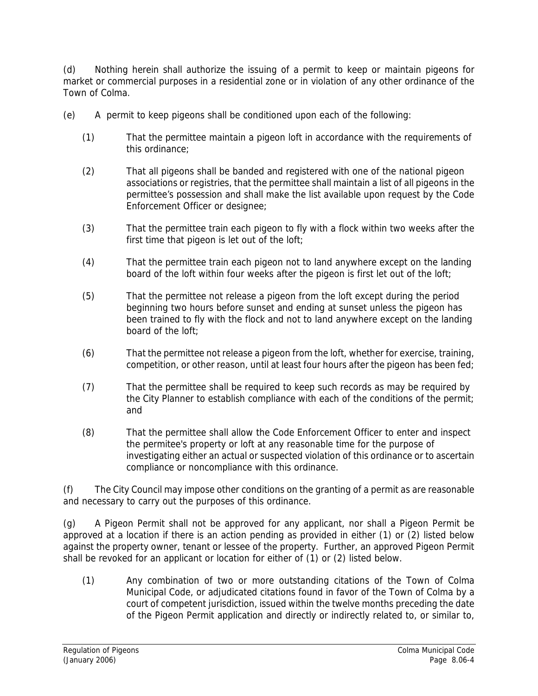(d) Nothing herein shall authorize the issuing of a permit to keep or maintain pigeons for market or commercial purposes in a residential zone or in violation of any other ordinance of the Town of Colma.

- (e) A permit to keep pigeons shall be conditioned upon each of the following:
	- (1) That the permittee maintain a pigeon loft in accordance with the requirements of this ordinance;
	- (2) That all pigeons shall be banded and registered with one of the national pigeon associations or registries, that the permittee shall maintain a list of all pigeons in the permittee's possession and shall make the list available upon request by the Code Enforcement Officer or designee;
	- (3) That the permittee train each pigeon to fly with a flock within two weeks after the first time that pigeon is let out of the loft;
	- (4) That the permittee train each pigeon not to land anywhere except on the landing board of the loft within four weeks after the pigeon is first let out of the loft;
	- (5) That the permittee not release a pigeon from the loft except during the period beginning two hours before sunset and ending at sunset unless the pigeon has been trained to fly with the flock and not to land anywhere except on the landing board of the loft;
	- (6) That the permittee not release a pigeon from the loft, whether for exercise, training, competition, or other reason, until at least four hours after the pigeon has been fed;
	- (7) That the permittee shall be required to keep such records as may be required by the City Planner to establish compliance with each of the conditions of the permit; and
	- (8) That the permittee shall allow the Code Enforcement Officer to enter and inspect the permitee's property or loft at any reasonable time for the purpose of investigating either an actual or suspected violation of this ordinance or to ascertain compliance or noncompliance with this ordinance.

(f) The City Council may impose other conditions on the granting of a permit as are reasonable and necessary to carry out the purposes of this ordinance.

(g) A Pigeon Permit shall not be approved for any applicant, nor shall a Pigeon Permit be approved at a location if there is an action pending as provided in either (1) or (2) listed below against the property owner, tenant or lessee of the property. Further, an approved Pigeon Permit shall be revoked for an applicant or location for either of (1) or (2) listed below.

(1) Any combination of two or more outstanding citations of the Town of Colma Municipal Code, or adjudicated citations found in favor of the Town of Colma by a court of competent jurisdiction, issued within the twelve months preceding the date of the Pigeon Permit application and directly or indirectly related to, or similar to,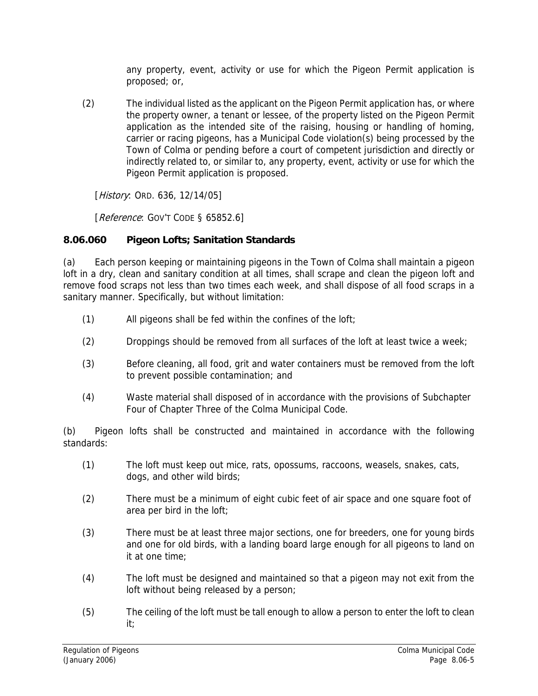any property, event, activity or use for which the Pigeon Permit application is proposed; or,

(2) The individual listed as the applicant on the Pigeon Permit application has, or where the property owner, a tenant or lessee, of the property listed on the Pigeon Permit application as the intended site of the raising, housing or handling of homing, carrier or racing pigeons, has a Municipal Code violation(s) being processed by the Town of Colma or pending before a court of competent jurisdiction and directly or indirectly related to, or similar to, any property, event, activity or use for which the Pigeon Permit application is proposed.

[*History*: ORD. 636, 12/14/05]

[Reference: GOV'T CODE § 65852.6]

## **8.06.060 Pigeon Lofts; Sanitation Standards**

(a) Each person keeping or maintaining pigeons in the Town of Colma shall maintain a pigeon loft in a dry, clean and sanitary condition at all times, shall scrape and clean the pigeon loft and remove food scraps not less than two times each week, and shall dispose of all food scraps in a sanitary manner. Specifically, but without limitation:

- (1) All pigeons shall be fed within the confines of the loft;
- (2) Droppings should be removed from all surfaces of the loft at least twice a week;
- (3) Before cleaning, all food, grit and water containers must be removed from the loft to prevent possible contamination; and
- (4) Waste material shall disposed of in accordance with the provisions of Subchapter Four of Chapter Three of the Colma Municipal Code.

(b) Pigeon lofts shall be constructed and maintained in accordance with the following standards:

- (1) The loft must keep out mice, rats, opossums, raccoons, weasels, snakes, cats, dogs, and other wild birds;
- (2) There must be a minimum of eight cubic feet of air space and one square foot of area per bird in the loft;
- (3) There must be at least three major sections, one for breeders, one for young birds and one for old birds, with a landing board large enough for all pigeons to land on it at one time;
- (4) The loft must be designed and maintained so that a pigeon may not exit from the loft without being released by a person;
- (5) The ceiling of the loft must be tall enough to allow a person to enter the loft to clean it;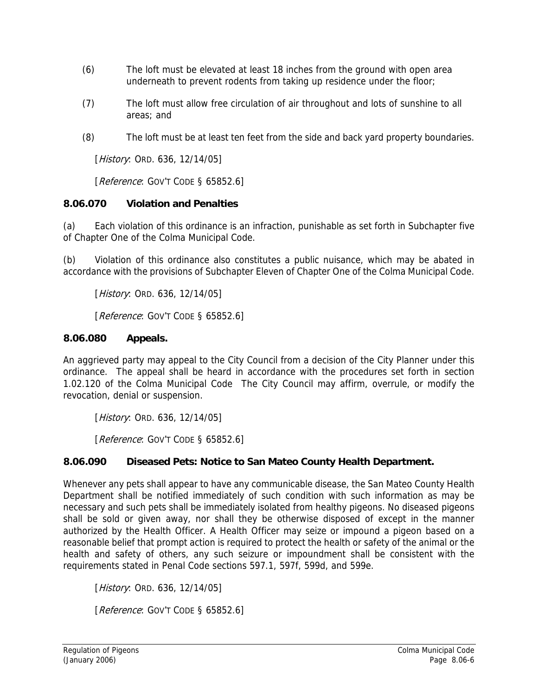- (6) The loft must be elevated at least 18 inches from the ground with open area underneath to prevent rodents from taking up residence under the floor;
- (7) The loft must allow free circulation of air throughout and lots of sunshine to all areas; and
- (8) The loft must be at least ten feet from the side and back yard property boundaries.

[*History*: ORD. 636, 12/14/05]

[Reference: GOV'T CODE § 65852.6]

### **8.06.070 Violation and Penalties**

(a) Each violation of this ordinance is an infraction, punishable as set forth in Subchapter five of Chapter One of the Colma Municipal Code.

(b) Violation of this ordinance also constitutes a public nuisance, which may be abated in accordance with the provisions of Subchapter Eleven of Chapter One of the Colma Municipal Code.

[*History*: ORD. 636, 12/14/05]

[Reference: GOV'T CODE § 65852.6]

### **8.06.080 Appeals.**

An aggrieved party may appeal to the City Council from a decision of the City Planner under this ordinance. The appeal shall be heard in accordance with the procedures set forth in section 1.02.120 of the Colma Municipal Code The City Council may affirm, overrule, or modify the revocation, denial or suspension.

[*History*: ORD. 636, 12/14/05]

[Reference: GOV'T CODE § 65852.6]

### **8.06.090 Diseased Pets: Notice to San Mateo County Health Department.**

Whenever any pets shall appear to have any communicable disease, the San Mateo County Health Department shall be notified immediately of such condition with such information as may be necessary and such pets shall be immediately isolated from healthy pigeons. No diseased pigeons shall be sold or given away, nor shall they be otherwise disposed of except in the manner authorized by the Health Officer. A Health Officer may seize or impound a pigeon based on a reasonable belief that prompt action is required to protect the health or safety of the animal or the health and safety of others, any such seizure or impoundment shall be consistent with the requirements stated in Penal Code sections 597.1, 597f, 599d, and 599e.

[*History*: ORD. 636, 12/14/05]

[Reference: GOV'T CODE § 65852.6]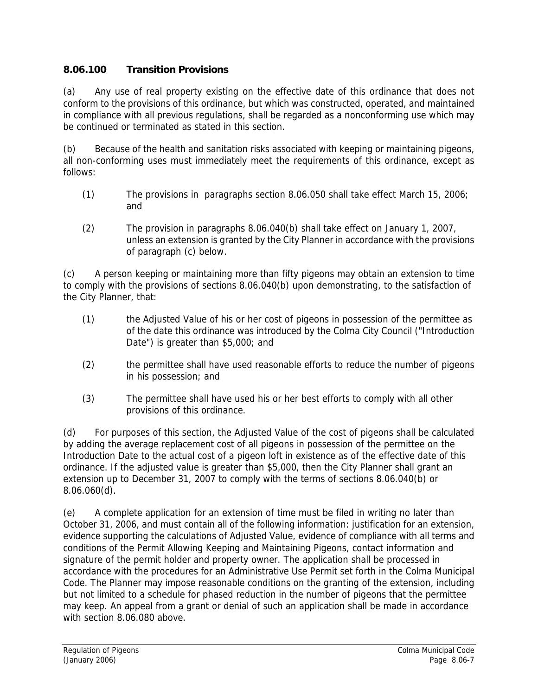## **8.06.100 Transition Provisions**

(a) Any use of real property existing on the effective date of this ordinance that does not conform to the provisions of this ordinance, but which was constructed, operated, and maintained in compliance with all previous regulations, shall be regarded as a nonconforming use which may be continued or terminated as stated in this section.

(b) Because of the health and sanitation risks associated with keeping or maintaining pigeons, all non-conforming uses must immediately meet the requirements of this ordinance, except as follows:

- (1) The provisions in paragraphs section 8.06.050 shall take effect March 15, 2006; and
- (2) The provision in paragraphs 8.06.040(b) shall take effect on January 1, 2007, unless an extension is granted by the City Planner in accordance with the provisions of paragraph (c) below.

(c) A person keeping or maintaining more than fifty pigeons may obtain an extension to time to comply with the provisions of sections 8.06.040(b) upon demonstrating, to the satisfaction of the City Planner, that:

- (1) the Adjusted Value of his or her cost of pigeons in possession of the permittee as of the date this ordinance was introduced by the Colma City Council ("Introduction Date") is greater than \$5,000; and
- (2) the permittee shall have used reasonable efforts to reduce the number of pigeons in his possession; and
- (3) The permittee shall have used his or her best efforts to comply with all other provisions of this ordinance.

(d) For purposes of this section, the Adjusted Value of the cost of pigeons shall be calculated by adding the average replacement cost of all pigeons in possession of the permittee on the Introduction Date to the actual cost of a pigeon loft in existence as of the effective date of this ordinance. If the adjusted value is greater than \$5,000, then the City Planner shall grant an extension up to December 31, 2007 to comply with the terms of sections 8.06.040(b) or 8.06.060(d).

(e) A complete application for an extension of time must be filed in writing no later than October 31, 2006, and must contain all of the following information: justification for an extension, evidence supporting the calculations of Adjusted Value, evidence of compliance with all terms and conditions of the Permit Allowing Keeping and Maintaining Pigeons, contact information and signature of the permit holder and property owner. The application shall be processed in accordance with the procedures for an Administrative Use Permit set forth in the Colma Municipal Code. The Planner may impose reasonable conditions on the granting of the extension, including but not limited to a schedule for phased reduction in the number of pigeons that the permittee may keep. An appeal from a grant or denial of such an application shall be made in accordance with section 8.06.080 above.